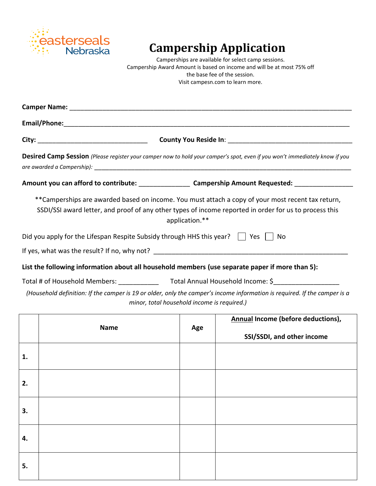

## **Campership Application**

Camperships are available for select camp sessions. Campership Award Amount is based on income and will be at most 75% off the base fee of the session. Visit campesn.com to learn more.

| Camper Name: 1990 and 200 million and 200 million and 200 million and 200 million and 200 million and 200 mill |                                                                                                                                                                                                              |                |                                                                  |  |  |
|----------------------------------------------------------------------------------------------------------------|--------------------------------------------------------------------------------------------------------------------------------------------------------------------------------------------------------------|----------------|------------------------------------------------------------------|--|--|
|                                                                                                                |                                                                                                                                                                                                              |                |                                                                  |  |  |
|                                                                                                                |                                                                                                                                                                                                              |                |                                                                  |  |  |
|                                                                                                                | Desired Camp Session (Please register your camper now to hold your camper's spot, even if you won't immediately know if you                                                                                  |                |                                                                  |  |  |
|                                                                                                                | Amount you can afford to contribute: _______________________ Campership Amount Requested: ___________________                                                                                                |                |                                                                  |  |  |
|                                                                                                                | ** Camperships are awarded based on income. You must attach a copy of your most recent tax return,<br>SSDI/SSI award letter, and proof of any other types of income reported in order for us to process this | application.** |                                                                  |  |  |
|                                                                                                                | Did you apply for the Lifespan Respite Subsidy through HHS this year? $\parallel$ Yes $\parallel$                                                                                                            |                | No                                                               |  |  |
|                                                                                                                |                                                                                                                                                                                                              |                |                                                                  |  |  |
|                                                                                                                | List the following information about all household members (use separate paper if more than 5):                                                                                                              |                |                                                                  |  |  |
|                                                                                                                | (Household definition: If the camper is 19 or older, only the camper's income information is required. If the camper is a<br>minor, total household income is required.)                                     |                |                                                                  |  |  |
|                                                                                                                | <b>Name</b>                                                                                                                                                                                                  | Age            | Annual Income (before deductions),<br>SSI/SSDI, and other income |  |  |
| 1.                                                                                                             |                                                                                                                                                                                                              |                |                                                                  |  |  |
|                                                                                                                |                                                                                                                                                                                                              |                |                                                                  |  |  |

| 2. |  |  |
|----|--|--|
| 3. |  |  |
| 4. |  |  |
| 5. |  |  |